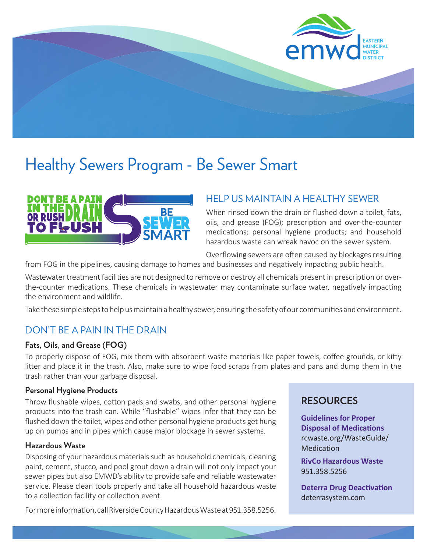

## Healthy Sewers Program - Be Sewer Smart



## HELP US MAINTAIN A HEALTHY SEWER

When rinsed down the drain or flushed down a toilet, fats, oils, and grease (FOG); prescription and over-the-counter medications; personal hygiene products; and household hazardous waste can wreak havoc on the sewer system.

Overflowing sewers are often caused by blockages resulting

from FOG in the pipelines, causing damage to homes and businesses and negatively impacting public health.

Wastewater treatment facilities are not designed to remove or destroy all chemicals present in prescription or overthe-counter medications. These chemicals in wastewater may contaminate surface water, negatively impacting the environment and wildlife.

Take these simple steps to help us maintain a healthy sewer, ensuring the safety of our communities and environment.

## DON'T BE A PAIN IN THE DRAIN

### **Fats, Oils, and Grease (FOG)**

To properly dispose of FOG, mix them with absorbent waste materials like paper towels, coffee grounds, or kitty litter and place it in the trash. Also, make sure to wipe food scraps from plates and pans and dump them in the trash rather than your garbage disposal.

### **Personal Hygiene Products**

Throw flushable wipes, cotton pads and swabs, and other personal hygiene products into the trash can. While "flushable" wipes infer that they can be flushed down the toilet, wipes and other personal hygiene products get hung up on pumps and in pipes which cause major blockage in sewer systems.

### **Hazardous Waste**

Disposing of your hazardous materials such as household chemicals, cleaning paint, cement, stucco, and pool grout down a drain will not only impact your sewer pipes but also EMWD's ability to provide safe and reliable wastewater service. Please clean tools properly and take all household hazardous waste to a collection facility or collection event.

For more information, call Riverside County Hazardous Waste at 951.358.5256.

## **RESOURCES**

**Guidelines for Proper Disposal of Medications** rcwaste.org/WasteGuide/ **Medication** 

**RivCo Hazardous Waste** 951.358.5256

**Deterra Drug Deactivation** deterrasystem.com